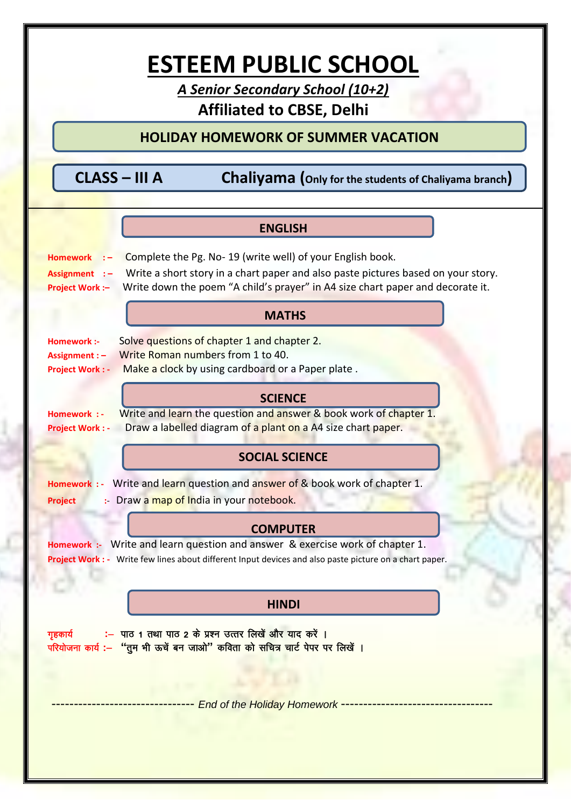# **ESTEEM PUBLIC SCHOOL**

*A Senior Secondary School (10+2)* **Affiliated to CBSE, Delhi**

#### **HOLIDAY HOMEWORK OF SUMMER VACATION**

 **CLASS – III A Chaliyama (Only for the students of Chaliyama branch)**

| <b>ENGLISH</b>                                                                                                                                                                           |
|------------------------------------------------------------------------------------------------------------------------------------------------------------------------------------------|
| Complete the Pg. No-19 (write well) of your English book.<br><b>Homework</b>                                                                                                             |
| Write a short story in a chart paper and also paste pictures based on your story.<br>Assignment :-                                                                                       |
| Write down the poem "A child's prayer" in A4 size chart paper and decorate it.<br><b>Project Work:-</b>                                                                                  |
| <b>MATHS</b>                                                                                                                                                                             |
| Solve questions of chapter 1 and chapter 2.<br>Homework :-                                                                                                                               |
| Write Roman numbers from 1 to 40.<br>Assignment : -                                                                                                                                      |
| Make a clock by using cardboard or a Paper plate.<br><b>Project Work: -</b>                                                                                                              |
| <b>SCIENCE</b>                                                                                                                                                                           |
| Write and learn the question and answer & book work of chapter 1.<br>Homework : -                                                                                                        |
| Draw a labelled diagram of a plant on a A4 size chart paper.<br><b>Project Work: -</b>                                                                                                   |
| <b>SOCIAL SCIENCE</b>                                                                                                                                                                    |
| Homework : - Write and learn question and answer of & book work of chapter 1.                                                                                                            |
| :- Draw a map of India in your notebook.<br><b>Project</b>                                                                                                                               |
|                                                                                                                                                                                          |
| <b>COMPUTER</b>                                                                                                                                                                          |
| Homework :- Write and learn question and answer & exercise work of chapter 1.<br>Project Work : - Write few lines about different Input devices and also paste picture on a chart paper. |
|                                                                                                                                                                                          |
|                                                                                                                                                                                          |
| <b>HINDI</b>                                                                                                                                                                             |
| :- पाठ 1 तथा पाठ 2 के प्रश्न उत्तर लिखें और याद करें ।<br>गृहकार्य<br>परियोजना कार्य :- "तुम भी ऊचें बन जाओ" कविता को सचित्र चार्ट पेपर पर लिखें ।                                       |
|                                                                                                                                                                                          |
|                                                                                                                                                                                          |
| End of the Holiday Homework ---------                                                                                                                                                    |
|                                                                                                                                                                                          |
|                                                                                                                                                                                          |
|                                                                                                                                                                                          |